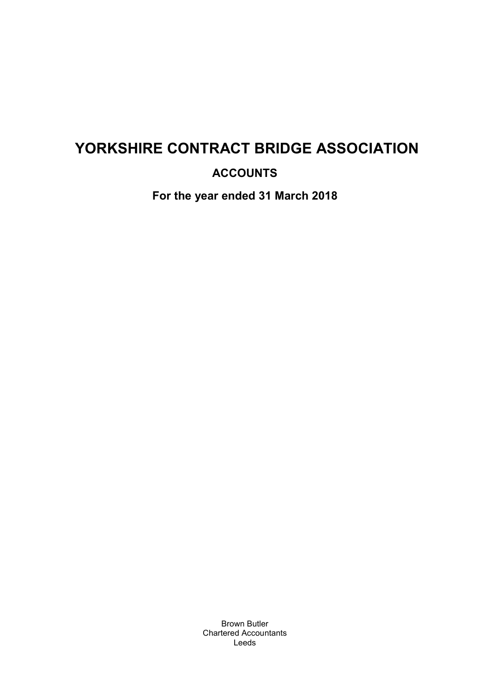## **ACCOUNTS**

**For the year ended 31 March 2018** 

Brown Butler Chartered Accountants Leeds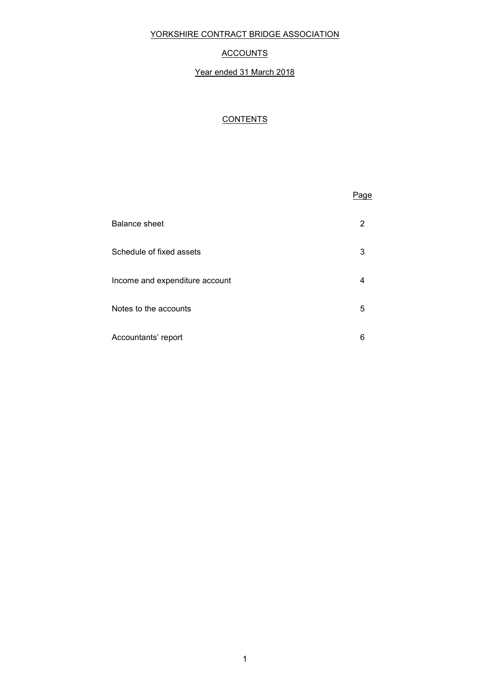#### **ACCOUNTS**

#### Year ended 31 March 2018

#### **CONTENTS**

# the contract of the contract of the contract of the contract of the contract of the contract of the contract of the contract of the contract of the contract of the contract of the contract of the contract of the contract o Balance sheet 2 Schedule of fixed assets 3 Income and expenditure account 4 Notes to the accounts 5 Accountants' report 6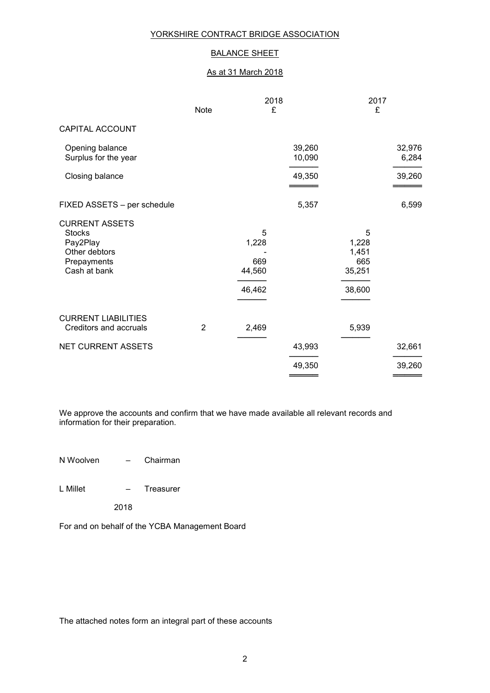## BALANCE SHEET

#### As at 31 March 2018

|                                                                                                    | <b>Note</b> | 2018<br>£                             |                  | 2017<br>£                                      |                 |
|----------------------------------------------------------------------------------------------------|-------------|---------------------------------------|------------------|------------------------------------------------|-----------------|
| CAPITAL ACCOUNT                                                                                    |             |                                       |                  |                                                |                 |
| Opening balance<br>Surplus for the year                                                            |             |                                       | 39,260<br>10,090 |                                                | 32,976<br>6,284 |
| Closing balance                                                                                    |             |                                       | 49,350           |                                                | 39,260          |
| FIXED ASSETS - per schedule                                                                        |             |                                       | 5,357            |                                                | 6,599           |
| <b>CURRENT ASSETS</b><br><b>Stocks</b><br>Pay2Play<br>Other debtors<br>Prepayments<br>Cash at bank |             | 5<br>1,228<br>669<br>44,560<br>46,462 |                  | 5<br>1,228<br>1,451<br>665<br>35,251<br>38,600 |                 |
| <b>CURRENT LIABILITIES</b><br><b>Creditors and accruals</b>                                        | 2           | 2,469                                 |                  | 5,939                                          |                 |
| <b>NET CURRENT ASSETS</b>                                                                          |             |                                       | 43,993           |                                                | 32,661          |
|                                                                                                    |             |                                       | 49,350<br>____   |                                                | 39,260          |

We approve the accounts and confirm that we have made available all relevant records and information for their preparation.

N Woolven – Chairman

- L Millet Treasurer
	- 2018

For and on behalf of the YCBA Management Board

The attached notes form an integral part of these accounts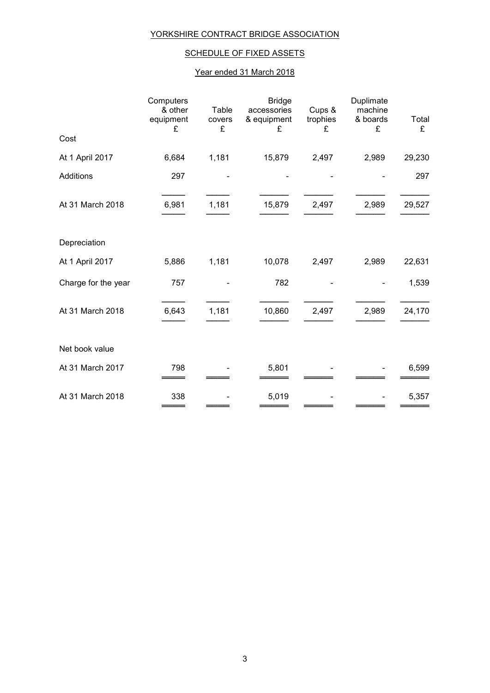## SCHEDULE OF FIXED ASSETS

#### Year ended 31 March 2018

|                     | Computers<br>& other<br>equipment<br>£ | Table<br>covers<br>£ | <b>Bridge</b><br>accessories<br>& equipment<br>£ | Cups &<br>trophies<br>£ | Duplimate<br>machine<br>& boards<br>£ | Total<br>£ |
|---------------------|----------------------------------------|----------------------|--------------------------------------------------|-------------------------|---------------------------------------|------------|
| Cost                |                                        |                      |                                                  |                         |                                       |            |
| At 1 April 2017     | 6,684                                  | 1,181                | 15,879                                           | 2,497                   | 2,989                                 | 29,230     |
| Additions           | 297                                    |                      |                                                  |                         |                                       | 297        |
| At 31 March 2018    | 6,981                                  | 1,181                | 15,879                                           | 2,497                   | 2,989                                 | 29,527     |
| Depreciation        |                                        |                      |                                                  |                         |                                       |            |
| At 1 April 2017     | 5,886                                  | 1,181                | 10,078                                           | 2,497                   | 2,989                                 | 22,631     |
| Charge for the year | 757                                    |                      | 782                                              |                         |                                       | 1,539      |
| At 31 March 2018    | 6,643                                  | 1,181                | 10,860                                           | 2,497                   | 2,989                                 | 24,170     |
| Net book value      |                                        |                      |                                                  |                         |                                       |            |
| At 31 March 2017    | 798                                    |                      | 5,801                                            |                         |                                       | 6,599      |
| At 31 March 2018    | 338                                    |                      | 5,019                                            |                         |                                       | 5,357      |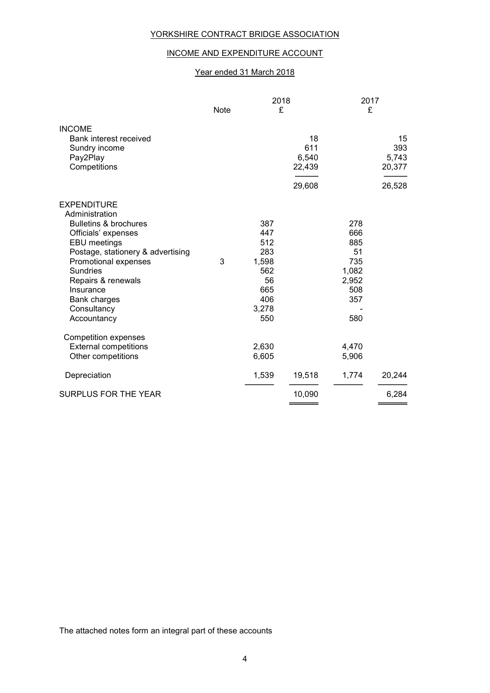#### INCOME AND EXPENDITURE ACCOUNT

#### Year ended 31 March 2018

|                                                                                                                                                                                                                                                                                  | Note | 2018<br>£                                                                    |                                        | 2017<br>£                                                             |                                        |
|----------------------------------------------------------------------------------------------------------------------------------------------------------------------------------------------------------------------------------------------------------------------------------|------|------------------------------------------------------------------------------|----------------------------------------|-----------------------------------------------------------------------|----------------------------------------|
| <b>INCOME</b><br>Bank interest received<br>Sundry income<br>Pay2Play<br>Competitions                                                                                                                                                                                             |      |                                                                              | 18<br>611<br>6,540<br>22,439<br>29,608 |                                                                       | 15<br>393<br>5,743<br>20,377<br>26,528 |
| <b>EXPENDITURE</b><br>Administration<br><b>Bulletins &amp; brochures</b><br>Officials' expenses<br>EBU meetings<br>Postage, stationery & advertising<br>Promotional expenses<br>Sundries<br>Repairs & renewals<br>Insurance<br><b>Bank charges</b><br>Consultancy<br>Accountancy | 3    | 387<br>447<br>512<br>283<br>1,598<br>562<br>56<br>665<br>406<br>3,278<br>550 |                                        | 278<br>666<br>885<br>51<br>735<br>1,082<br>2,952<br>508<br>357<br>580 |                                        |
| <b>Competition expenses</b><br><b>External competitions</b><br>Other competitions                                                                                                                                                                                                |      | 2,630<br>6,605                                                               |                                        | 4,470<br>5,906                                                        |                                        |
| Depreciation<br><b>SURPLUS FOR THE YEAR</b>                                                                                                                                                                                                                                      |      | 1,539                                                                        | 19,518<br>10,090                       | 1,774                                                                 | 20,244<br>6,284                        |

The attached notes form an integral part of these accounts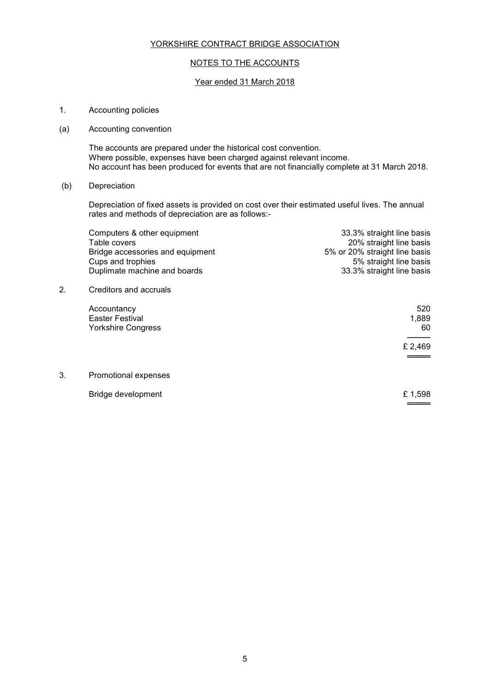#### NOTES TO THE ACCOUNTS

#### Year ended 31 March 2018

- 1. Accounting policies
- (a) Accounting convention

 The accounts are prepared under the historical cost convention. Where possible, expenses have been charged against relevant income. No account has been produced for events that are not financially complete at 31 March 2018.

(b) Depreciation

Depreciation of fixed assets is provided on cost over their estimated useful lives. The annual rates and methods of depreciation are as follows:-

|    | Computers & other equipment<br>Table covers<br>Bridge accessories and equipment<br>Cups and trophies<br>Duplimate machine and boards | 33.3% straight line basis<br>20% straight line basis<br>5% or 20% straight line basis<br>5% straight line basis<br>33.3% straight line basis |
|----|--------------------------------------------------------------------------------------------------------------------------------------|----------------------------------------------------------------------------------------------------------------------------------------------|
| 2. | Creditors and accruals                                                                                                               |                                                                                                                                              |
|    | Accountancy<br>Easter Festival<br><b>Yorkshire Congress</b>                                                                          | 520<br>1,889<br>60                                                                                                                           |
|    |                                                                                                                                      | £ 2,469                                                                                                                                      |
| 3. | Promotional expenses                                                                                                                 |                                                                                                                                              |
|    | Bridge development                                                                                                                   | £1,598                                                                                                                                       |

══════